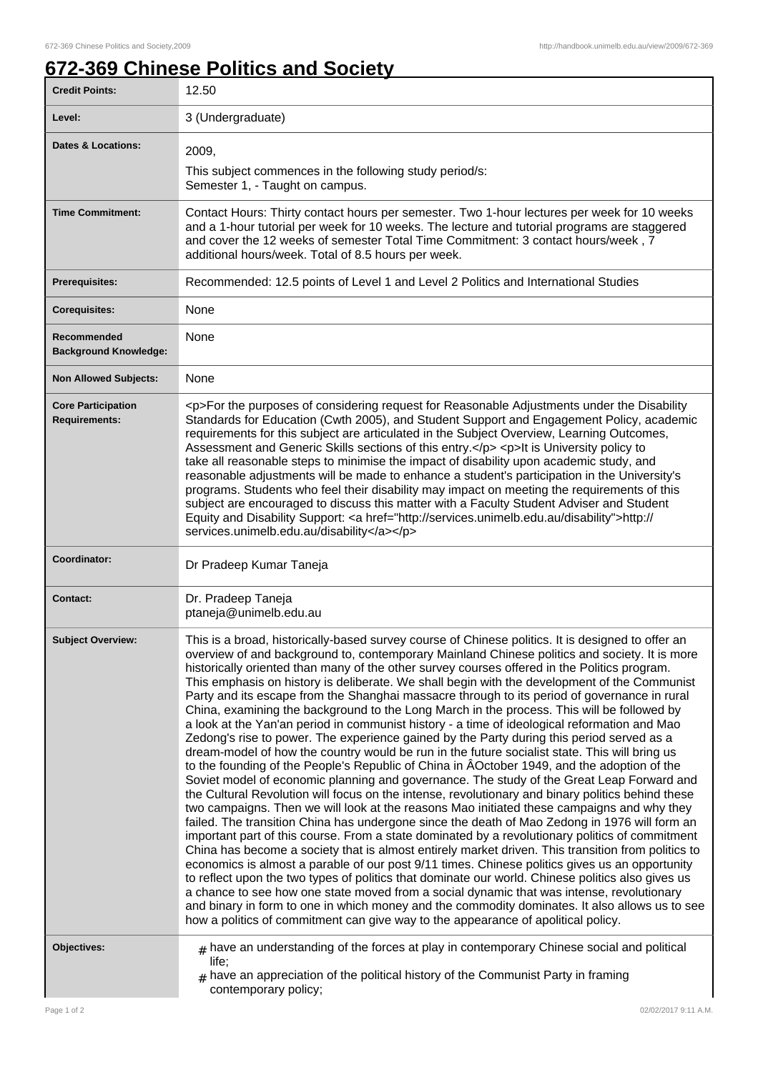## **672-369 Chinese Politics and Society**

| <b>Credit Points:</b>                             | 12.50                                                                                                                                                                                                                                                                                                                                                                                                                                                                                                                                                                                                                                                                                                                                                                                                                                                                                                                                                                                                                                                                                                                                                                                                                                                                                                                                                                                                                                                                                                                                                                                                                                                                                                                                                                                                                                                                                                                                                                                                                                                                                              |
|---------------------------------------------------|----------------------------------------------------------------------------------------------------------------------------------------------------------------------------------------------------------------------------------------------------------------------------------------------------------------------------------------------------------------------------------------------------------------------------------------------------------------------------------------------------------------------------------------------------------------------------------------------------------------------------------------------------------------------------------------------------------------------------------------------------------------------------------------------------------------------------------------------------------------------------------------------------------------------------------------------------------------------------------------------------------------------------------------------------------------------------------------------------------------------------------------------------------------------------------------------------------------------------------------------------------------------------------------------------------------------------------------------------------------------------------------------------------------------------------------------------------------------------------------------------------------------------------------------------------------------------------------------------------------------------------------------------------------------------------------------------------------------------------------------------------------------------------------------------------------------------------------------------------------------------------------------------------------------------------------------------------------------------------------------------------------------------------------------------------------------------------------------------|
| Level:                                            | 3 (Undergraduate)                                                                                                                                                                                                                                                                                                                                                                                                                                                                                                                                                                                                                                                                                                                                                                                                                                                                                                                                                                                                                                                                                                                                                                                                                                                                                                                                                                                                                                                                                                                                                                                                                                                                                                                                                                                                                                                                                                                                                                                                                                                                                  |
| <b>Dates &amp; Locations:</b>                     | 2009,                                                                                                                                                                                                                                                                                                                                                                                                                                                                                                                                                                                                                                                                                                                                                                                                                                                                                                                                                                                                                                                                                                                                                                                                                                                                                                                                                                                                                                                                                                                                                                                                                                                                                                                                                                                                                                                                                                                                                                                                                                                                                              |
|                                                   | This subject commences in the following study period/s:<br>Semester 1, - Taught on campus.                                                                                                                                                                                                                                                                                                                                                                                                                                                                                                                                                                                                                                                                                                                                                                                                                                                                                                                                                                                                                                                                                                                                                                                                                                                                                                                                                                                                                                                                                                                                                                                                                                                                                                                                                                                                                                                                                                                                                                                                         |
| <b>Time Commitment:</b>                           | Contact Hours: Thirty contact hours per semester. Two 1-hour lectures per week for 10 weeks<br>and a 1-hour tutorial per week for 10 weeks. The lecture and tutorial programs are staggered<br>and cover the 12 weeks of semester Total Time Commitment: 3 contact hours/week, 7<br>additional hours/week. Total of 8.5 hours per week.                                                                                                                                                                                                                                                                                                                                                                                                                                                                                                                                                                                                                                                                                                                                                                                                                                                                                                                                                                                                                                                                                                                                                                                                                                                                                                                                                                                                                                                                                                                                                                                                                                                                                                                                                            |
| <b>Prerequisites:</b>                             | Recommended: 12.5 points of Level 1 and Level 2 Politics and International Studies                                                                                                                                                                                                                                                                                                                                                                                                                                                                                                                                                                                                                                                                                                                                                                                                                                                                                                                                                                                                                                                                                                                                                                                                                                                                                                                                                                                                                                                                                                                                                                                                                                                                                                                                                                                                                                                                                                                                                                                                                 |
| <b>Corequisites:</b>                              | None                                                                                                                                                                                                                                                                                                                                                                                                                                                                                                                                                                                                                                                                                                                                                                                                                                                                                                                                                                                                                                                                                                                                                                                                                                                                                                                                                                                                                                                                                                                                                                                                                                                                                                                                                                                                                                                                                                                                                                                                                                                                                               |
| Recommended<br><b>Background Knowledge:</b>       | None                                                                                                                                                                                                                                                                                                                                                                                                                                                                                                                                                                                                                                                                                                                                                                                                                                                                                                                                                                                                                                                                                                                                                                                                                                                                                                                                                                                                                                                                                                                                                                                                                                                                                                                                                                                                                                                                                                                                                                                                                                                                                               |
| <b>Non Allowed Subjects:</b>                      | None                                                                                                                                                                                                                                                                                                                                                                                                                                                                                                                                                                                                                                                                                                                                                                                                                                                                                                                                                                                                                                                                                                                                                                                                                                                                                                                                                                                                                                                                                                                                                                                                                                                                                                                                                                                                                                                                                                                                                                                                                                                                                               |
| <b>Core Participation</b><br><b>Requirements:</b> | <p>For the purposes of considering request for Reasonable Adjustments under the Disability<br/>Standards for Education (Cwth 2005), and Student Support and Engagement Policy, academic<br/>requirements for this subject are articulated in the Subject Overview, Learning Outcomes,<br/>Assessment and Generic Skills sections of this entry.</p> <p>lt is University policy to<br/>take all reasonable steps to minimise the impact of disability upon academic study, and<br/>reasonable adjustments will be made to enhance a student's participation in the University's<br/>programs. Students who feel their disability may impact on meeting the requirements of this<br/>subject are encouraged to discuss this matter with a Faculty Student Adviser and Student<br/>Equity and Disability Support: &lt; a href="http://services.unimelb.edu.au/disability"&gt;http://</p>                                                                                                                                                                                                                                                                                                                                                                                                                                                                                                                                                                                                                                                                                                                                                                                                                                                                                                                                                                                                                                                                                                                                                                                                              |
|                                                   | services.unimelb.edu.au/disability                                                                                                                                                                                                                                                                                                                                                                                                                                                                                                                                                                                                                                                                                                                                                                                                                                                                                                                                                                                                                                                                                                                                                                                                                                                                                                                                                                                                                                                                                                                                                                                                                                                                                                                                                                                                                                                                                                                                                                                                                                                                 |
| Coordinator:                                      | Dr Pradeep Kumar Taneja                                                                                                                                                                                                                                                                                                                                                                                                                                                                                                                                                                                                                                                                                                                                                                                                                                                                                                                                                                                                                                                                                                                                                                                                                                                                                                                                                                                                                                                                                                                                                                                                                                                                                                                                                                                                                                                                                                                                                                                                                                                                            |
| <b>Contact:</b>                                   | Dr. Pradeep Taneja<br>ptaneja@unimelb.edu.au                                                                                                                                                                                                                                                                                                                                                                                                                                                                                                                                                                                                                                                                                                                                                                                                                                                                                                                                                                                                                                                                                                                                                                                                                                                                                                                                                                                                                                                                                                                                                                                                                                                                                                                                                                                                                                                                                                                                                                                                                                                       |
| <b>Subject Overview:</b>                          | This is a broad, historically-based survey course of Chinese politics. It is designed to offer an<br>overview of and background to, contemporary Mainland Chinese politics and society. It is more<br>historically oriented than many of the other survey courses offered in the Politics program.<br>This emphasis on history is deliberate. We shall begin with the development of the Communist<br>Party and its escape from the Shanghai massacre through to its period of governance in rural<br>China, examining the background to the Long March in the process. This will be followed by<br>a look at the Yan'an period in communist history - a time of ideological reformation and Mao<br>Zedong's rise to power. The experience gained by the Party during this period served as a<br>dream-model of how the country would be run in the future socialist state. This will bring us<br>to the founding of the People's Republic of China in AOctober 1949, and the adoption of the<br>Soviet model of economic planning and governance. The study of the Great Leap Forward and<br>the Cultural Revolution will focus on the intense, revolutionary and binary politics behind these<br>two campaigns. Then we will look at the reasons Mao initiated these campaigns and why they<br>failed. The transition China has undergone since the death of Mao Zedong in 1976 will form an<br>important part of this course. From a state dominated by a revolutionary politics of commitment<br>China has become a society that is almost entirely market driven. This transition from politics to<br>economics is almost a parable of our post 9/11 times. Chinese politics gives us an opportunity<br>to reflect upon the two types of politics that dominate our world. Chinese politics also gives us<br>a chance to see how one state moved from a social dynamic that was intense, revolutionary<br>and binary in form to one in which money and the commodity dominates. It also allows us to see<br>how a politics of commitment can give way to the appearance of apolitical policy. |